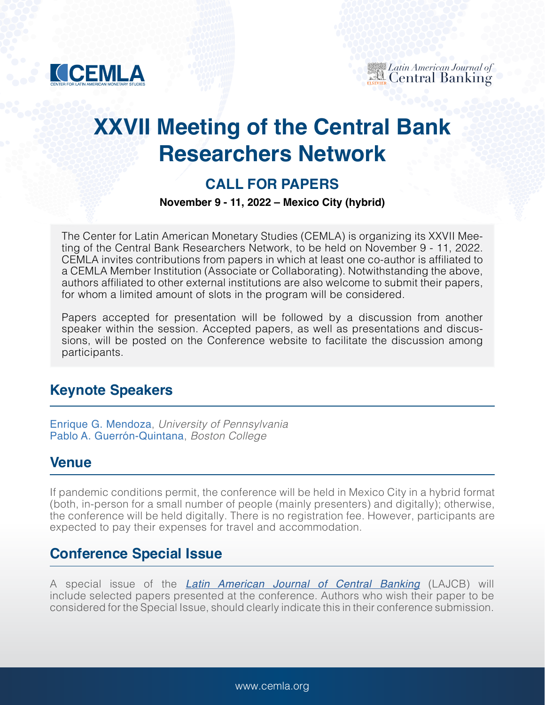

# **XXVII Meeting of the Central Bank Researchers Network**

# **CALL FOR PAPERS**

#### **November 9 - 11, 2022 – Mexico City (hybrid)**

The Center for Latin American Monetary Studies (CEMLA) is organizing its XXVII Meeting of the Central Bank Researchers Network, to be held on November 9 - 11, 2022. CEMLA invites contributions from papers in which at least one co-author is affiliated to a CEMLA Member Institution (Associate or Collaborating). Notwithstanding the above, authors affiliated to other external institutions are also welcome to submit their papers, for whom a limited amount of slots in the program will be considered.

Papers accepted for presentation will be followed by a discussion from another speaker within the session. Accepted papers, as well as presentations and discussions, will be posted on the Conference website to facilitate the discussion among participants.

# **Keynote Speakers**

[Enrique G. Mendoza](https://www.sas.upenn.edu/~egme/), *University of Pennsylvania* [Pablo A. Guerrón-Quintana](https://sites.google.com/site/pabloaguerronquintana/), *Boston College*

#### **Venue**

If pandemic conditions permit, the conference will be held in Mexico City in a hybrid format (both, in-person for a small number of people (mainly presenters) and digitally); otherwise, the conference will be held digitally. There is no registration fee. However, participants are expected to pay their expenses for travel and accommodation.

# **Conference Special Issue**

A special issue of the *[Latin American Journal of Central Banking](https://www.journals.elsevier.com/latin-american-journal-of-central-banking)* (LAJCB) will include selected papers presented at the conference. Authors who wish their paper to be considered for the Special Issue, should clearly indicate this in their conference submission.